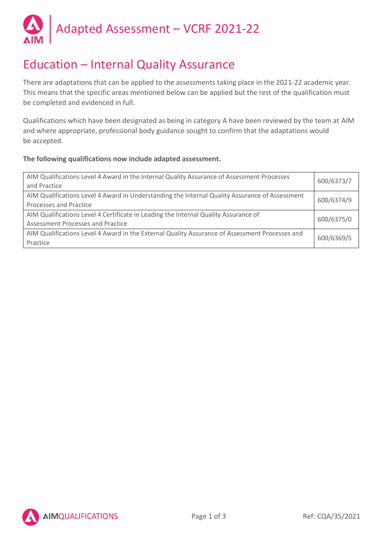

## Education – Internal Quality Assurance

There are adaptations that can be applied to the assessments taking place in the 2021-22 academic year. This means that the specific areas mentioned below can be applied but the rest of the qualification must be completed and evidenced in full.

Qualifications which have been designated as being in category A have been reviewed by the team at AIM and where appropriate, professional body guidance sought to confirm that the adaptations would be accepted.

## **The following qualifications now include adapted assessment.**

| AIM Qualifications Level 4 Award in the Internal Quality Assurance of Assessment Processes<br>and Practice               | 600/6373/7 |
|--------------------------------------------------------------------------------------------------------------------------|------------|
| AIM Qualifications Level 4 Award in Understanding the Internal Quality Assurance of Assessment<br>Processes and Practice | 600/6374/9 |
| AIM Qualifications Level 4 Certificate in Leading the Internal Quality Assurance of<br>Assessment Processes and Practice | 600/6375/0 |
| AIM Qualifications Level 4 Award in the External Quality Assurance of Assessment Processes and<br>Practice               | 600/6369/5 |

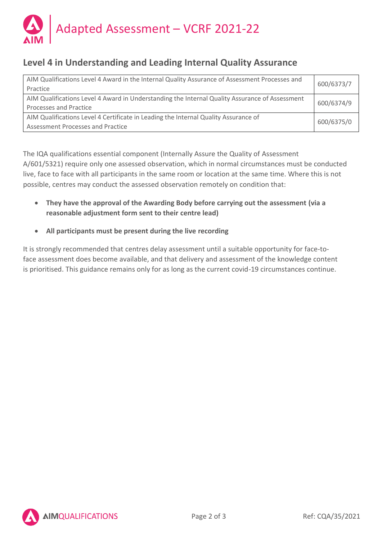

## **Level 4 in Understanding and Leading Internal Quality Assurance**

| AIM Qualifications Level 4 Award in the Internal Quality Assurance of Assessment Processes and<br>Practice               | 600/6373/7 |
|--------------------------------------------------------------------------------------------------------------------------|------------|
| AIM Qualifications Level 4 Award in Understanding the Internal Quality Assurance of Assessment<br>Processes and Practice | 600/6374/9 |
| AIM Qualifications Level 4 Certificate in Leading the Internal Quality Assurance of<br>Assessment Processes and Practice | 600/6375/0 |

The IQA qualifications essential component (Internally Assure the Quality of Assessment A/601/5321) require only one assessed observation, which in normal circumstances must be conducted live, face to face with all participants in the same room or location at the same time. Where this is not possible, centres may conduct the assessed observation remotely on condition that:

- **They have the approval of the Awarding Body before carrying out the assessment (via a reasonable adjustment form sent to their centre lead)**
- **All participants must be present during the live recording**

It is strongly recommended that centres delay assessment until a suitable opportunity for face-toface assessment does become available, and that delivery and assessment of the knowledge content is prioritised. This guidance remains only for as long as the current covid-19 circumstances continue.